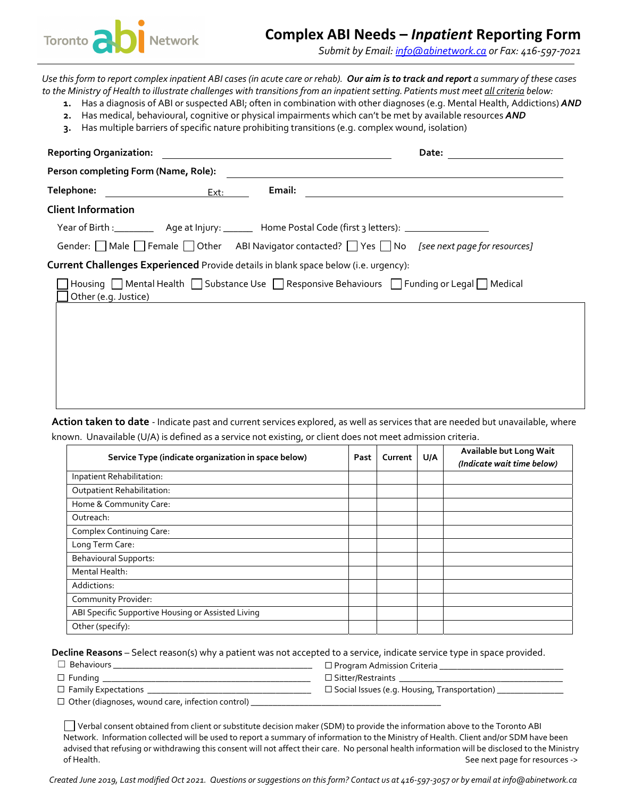

## **Complex ABI Needs –** *Inpatient* **Reporting Form**

*Submit by Email: info@abinetwork.ca or Fax: 416‐597‐7021*

Use this form to report complex inpatient ABI cases (in acute care or rehab). Our aim is to track and report a summary of these cases to the Ministry of Health to illustrate challenges with transitions from an inpatient setting. Patients must meet all criteria below:

- **1.** Has a diagnosis of ABI or suspected ABI; often in combination with other diagnoses (e.g. Mental Health, Addictions) *AND*
- **2.** Has medical, behavioural, cognitive or physical impairments which can't be met by available resources *AND*
- **3.** Has multiple barriers of specific nature prohibiting transitions (e.g. complex wound, isolation)

| <b>Reporting Organization:</b>                                                      | <u> 1980 - Jan Samuel Barbara, margaret e populazion del control del control del control del control de la provi</u> |                                                                                         |
|-------------------------------------------------------------------------------------|----------------------------------------------------------------------------------------------------------------------|-----------------------------------------------------------------------------------------|
| Person completing Form (Name, Role):                                                |                                                                                                                      |                                                                                         |
|                                                                                     | Email:                                                                                                               |                                                                                         |
| <b>Client Information</b>                                                           |                                                                                                                      |                                                                                         |
|                                                                                     |                                                                                                                      |                                                                                         |
|                                                                                     |                                                                                                                      | Gender: Male Female Other ABI Navigator contacted? Ves No [see next page for resources] |
| Current Challenges Experienced Provide details in blank space below (i.e. urgency): |                                                                                                                      |                                                                                         |
| Other (e.g. Justice)                                                                |                                                                                                                      | Housing Mental Health Substance Use Responsive Behaviours Frunding or Legal Medical     |
|                                                                                     |                                                                                                                      |                                                                                         |
|                                                                                     |                                                                                                                      |                                                                                         |
|                                                                                     |                                                                                                                      |                                                                                         |
|                                                                                     |                                                                                                                      |                                                                                         |
|                                                                                     |                                                                                                                      |                                                                                         |

**Action taken to date** ‐ Indicate past and current services explored, as well as services that are needed but unavailable, where known. Unavailable (U/A) is defined as a service not existing, or client does not meet admission criteria.

| Service Type (indicate organization in space below) | Past | Current | U/A | Available but Long Wait<br>(Indicate wait time below) |
|-----------------------------------------------------|------|---------|-----|-------------------------------------------------------|
| Inpatient Rehabilitation:                           |      |         |     |                                                       |
| Outpatient Rehabilitation:                          |      |         |     |                                                       |
| Home & Community Care:                              |      |         |     |                                                       |
| Outreach:                                           |      |         |     |                                                       |
| Complex Continuing Care:                            |      |         |     |                                                       |
| Long Term Care:                                     |      |         |     |                                                       |
| <b>Behavioural Supports:</b>                        |      |         |     |                                                       |
| Mental Health:                                      |      |         |     |                                                       |
| Addictions:                                         |      |         |     |                                                       |
| Community Provider:                                 |      |         |     |                                                       |
| ABI Specific Supportive Housing or Assisted Living  |      |         |     |                                                       |
| Other (specify):                                    |      |         |     |                                                       |

**Decline Reasons** – Select reason(s) why a patient was not accepted to a service, indicate service type in space provided.

☐ Behaviours \_\_\_\_\_\_\_\_\_\_\_\_\_\_\_\_\_\_\_\_\_\_\_\_\_\_\_\_\_\_\_\_\_\_\_\_\_\_\_\_\_\_\_\_\_ ☐ Program Admission Criteria \_\_\_\_\_\_\_\_\_\_\_\_\_\_\_\_\_\_\_\_\_\_\_\_\_\_\_\_

- ☐ Funding \_\_\_\_\_\_\_\_\_\_\_\_\_\_\_\_\_\_\_\_\_\_\_\_\_\_\_\_\_\_\_\_\_\_\_\_\_\_\_\_\_\_\_\_\_\_\_ ☐ Sitter/Restraints \_\_\_\_\_\_\_\_\_\_\_\_\_\_\_\_\_\_\_\_\_\_\_\_\_\_\_\_\_\_\_\_\_\_\_\_\_
- ☐ Family Expectations \_\_\_\_\_\_\_\_\_\_\_\_\_\_\_\_\_\_\_\_\_\_\_\_\_\_\_\_\_\_\_\_\_\_\_\_\_ ☐ Social Issues (e.g. Housing, Transportation) \_\_\_\_\_\_\_\_\_\_\_\_\_\_\_
- 

 $\Box$  Other (diagnoses, wound care, infection control)  $\Box$ 

Verbal consent obtained from client or substitute decision maker (SDM) to provide the information above to the Toronto ABI Network. Information collected will be used to report a summary of information to the Ministry of Health. Client and/or SDM have been advised that refusing or withdrawing this consent will not affect their care. No personal health information will be disclosed to the Ministry of Health. See next page for resources ->

Created June 2019, Last modified Oct 2021. Questions or suggestions on this form? Contact us at 416-597-3057 or by email at info@abinetwork.ca